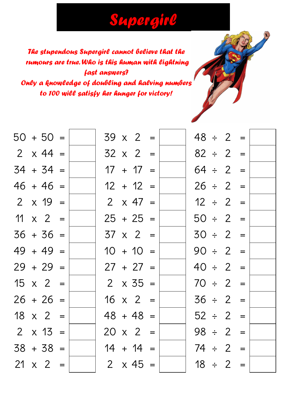## *Supergirl*

*The stupendous Supergirl cannot believe that the rumours are true. Who is this human with lightning fast answers? Only a knowledge of doubling and halving numbers to 100 will satisfy her hunger for victory!*

|  | $50 + 50 =$     |  |  | $39 \times 2 =$ |  | $48 \div 2 =$ |  |  |
|--|-----------------|--|--|-----------------|--|---------------|--|--|
|  | $2 \times 44 =$ |  |  | $32 \times 2 =$ |  | $82 \div 2 =$ |  |  |
|  | $34 + 34 =$     |  |  | $17 + 17 =$     |  | $64 \div 2 =$ |  |  |
|  | $46 + 46 =$     |  |  | $12 + 12 =$     |  | $26 \div 2 =$ |  |  |
|  | $2 \times 19 =$ |  |  | $2 \times 47 =$ |  | $12 \div 2 =$ |  |  |
|  | $11 \times 2 =$ |  |  | $25 + 25 =$     |  | $50 \div 2 =$ |  |  |
|  | $36 + 36 =$     |  |  | $37 \times 2 =$ |  | $30 \div 2 =$ |  |  |
|  | $49 + 49 =$     |  |  | $10 + 10 =$     |  | $90 \div 2 =$ |  |  |
|  | $29 + 29 =$     |  |  | $27 + 27 =$     |  | $40 \div 2 =$ |  |  |
|  | $15 \times 2 =$ |  |  | $2 \times 35 =$ |  | $70 \div 2 =$ |  |  |
|  | $26 + 26 =$     |  |  | $16 \times 2 =$ |  | $36 \div 2 =$ |  |  |
|  | $18 \times 2 =$ |  |  | $48 + 48 =$     |  | $52 \div 2 =$ |  |  |
|  | $2 \times 13 =$ |  |  | $20 \times 2 =$ |  | $98 \div 2 =$ |  |  |
|  | $38 + 38 =$     |  |  | $14 + 14 =$     |  | $74 \div 2 =$ |  |  |
|  | $21 \times 2 =$ |  |  | $2 \times 45 =$ |  | $18 \div 2 =$ |  |  |